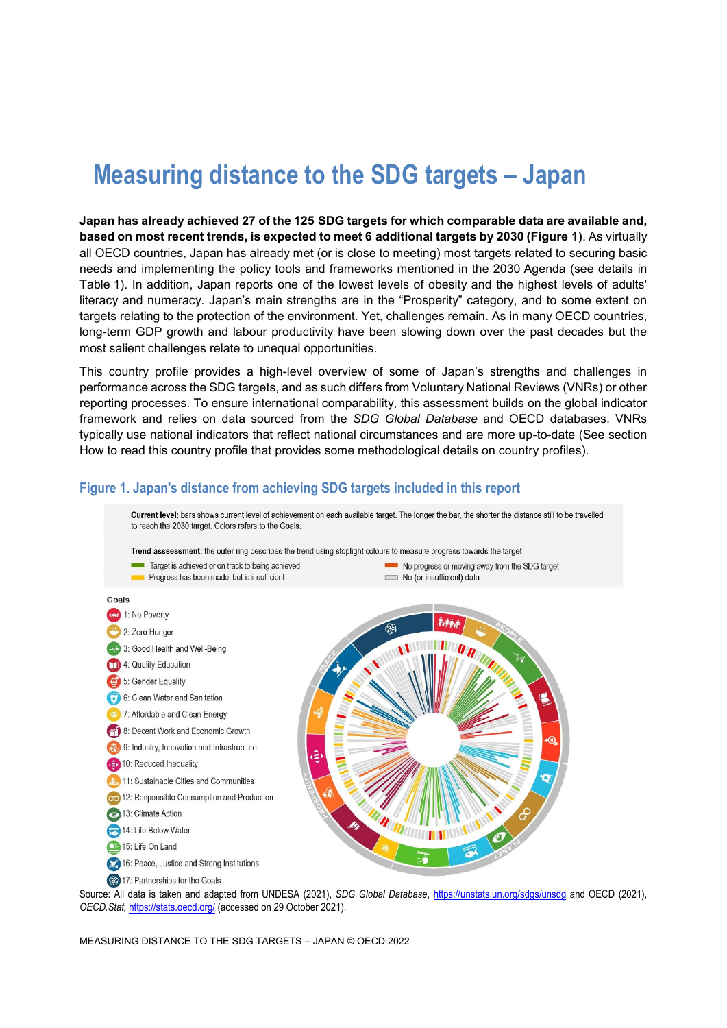# **Measuring distance to the SDG targets – Japan**

**Japan has already achieved 27 of the 125 SDG targets for which comparable data are available and, based on most recent trends, is expected to meet 6 additional targets by 2030 [\(Figure](#page-0-0) 1)**. As virtually all OECD countries, Japan has already met (or is close to meeting) most targets related to securing basic needs and implementing the policy tools and frameworks mentioned in the 2030 Agenda (see details in [Table](#page-2-0) 1). In addition, Japan reports one of the lowest levels of obesity and the highest levels of adults' literacy and numeracy. Japan's main strengths are in the "Prosperity" category, and to some extent on targets relating to the protection of the environment. Yet, challenges remain. As in many OECD countries, long-term GDP growth and labour productivity have been slowing down over the past decades but the most salient challenges relate to unequal opportunities.

This country profile provides a high-level overview of some of Japan's strengths and challenges in performance across the SDG targets, and as such differs from Voluntary National Reviews (VNRs) or other reporting processes. To ensure international comparability, this assessment builds on the global indicator framework and relies on data sourced from the *SDG Global Database* and OECD databases. VNRs typically use national indicators that reflect national circumstances and are more up-to-date (See section [How to read this](#page-7-0) country profile that provides some methodological details on country profiles).

## <span id="page-0-0"></span>**Figure 1. Japan's distance from achieving SDG targets included in this report**

Current level: bars shows current level of achievement on each available target. The longer the bar, the shorter the distance still to be travelled to reach the 2030 target. Colors refers to the Goals





Source: All data is taken and adapted from UNDESA (2021), *SDG Global Database*,<https://unstats.un.org/sdgs/unsdg> and OECD (2021), *OECD.Stat,* <https://stats.oecd.org/> (accessed on 29 October 2021).

MEASURING DISTANCE TO THE SDG TARGETS – JAPAN © OECD 2022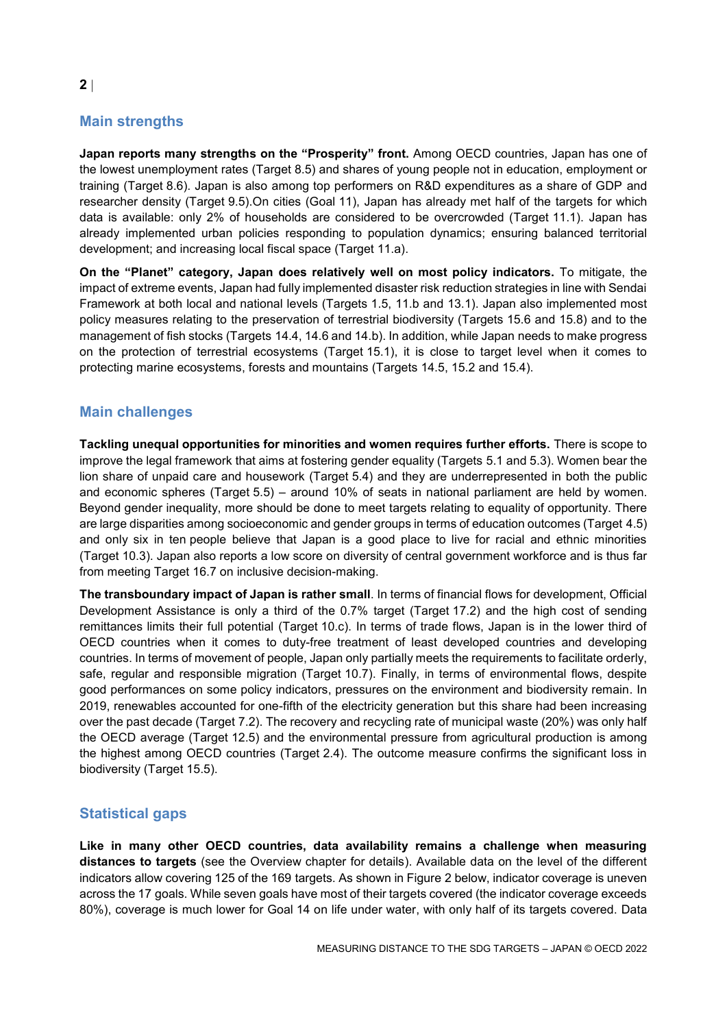# **Main strengths**

**Japan reports many strengths on the "Prosperity" front.** Among OECD countries, Japan has one of the lowest unemployment rates (Target 8.5) and shares of young people not in education, employment or training (Target 8.6). Japan is also among top performers on R&D expenditures as a share of GDP and researcher density (Target 9.5).On cities (Goal 11), Japan has already met half of the targets for which data is available: only 2% of households are considered to be overcrowded (Target 11.1). Japan has already implemented urban policies responding to population dynamics; ensuring balanced territorial development; and increasing local fiscal space (Target 11.a).

**On the "Planet" category, Japan does relatively well on most policy indicators.** To mitigate, the impact of extreme events, Japan had fully implemented disaster risk reduction strategies in line with Sendai Framework at both local and national levels (Targets 1.5, 11.b and 13.1). Japan also implemented most policy measures relating to the preservation of terrestrial biodiversity (Targets 15.6 and 15.8) and to the management of fish stocks (Targets 14.4, 14.6 and 14.b). In addition, while Japan needs to make progress on the protection of terrestrial ecosystems (Target 15.1), it is close to target level when it comes to protecting marine ecosystems, forests and mountains (Targets 14.5, 15.2 and 15.4).

## **Main challenges**

**Tackling unequal opportunities for minorities and women requires further efforts.** There is scope to improve the legal framework that aims at fostering gender equality (Targets 5.1 and 5.3). Women bear the lion share of unpaid care and housework (Target 5.4) and they are underrepresented in both the public and economic spheres (Target 5.5) – around 10% of seats in national parliament are held by women. Beyond gender inequality, more should be done to meet targets relating to equality of opportunity. There are large disparities among socioeconomic and gender groups in terms of education outcomes (Target 4.5) and only six in ten people believe that Japan is a good place to live for racial and ethnic minorities (Target 10.3). Japan also reports a low score on diversity of central government workforce and is thus far from meeting Target 16.7 on inclusive decision-making.

**The transboundary impact of Japan is rather small**. In terms of financial flows for development, Official Development Assistance is only a third of the 0.7% target (Target 17.2) and the high cost of sending remittances limits their full potential (Target 10.c). In terms of trade flows, Japan is in the lower third of OECD countries when it comes to duty-free treatment of least developed countries and developing countries. In terms of movement of people, Japan only partially meets the requirements to facilitate orderly, safe, regular and responsible migration (Target 10.7). Finally, in terms of environmental flows, despite good performances on some policy indicators, pressures on the environment and biodiversity remain. In 2019, renewables accounted for one-fifth of the electricity generation but this share had been increasing over the past decade (Target 7.2). The recovery and recycling rate of municipal waste (20%) was only half the OECD average (Target 12.5) and the environmental pressure from agricultural production is among the highest among OECD countries (Target 2.4). The outcome measure confirms the significant loss in biodiversity (Target 15.5).

## **Statistical gaps**

**Like in many other OECD countries, data availability remains a challenge when measuring distances to targets** (see the Overview chapter for details). Available data on the level of the different indicators allow covering 125 of the 169 targets. As shown in [Figure](#page-2-1) 2 below, indicator coverage is uneven across the 17 goals. While seven goals have most of their targets covered (the indicator coverage exceeds 80%), coverage is much lower for Goal 14 on life under water, with only half of its targets covered. Data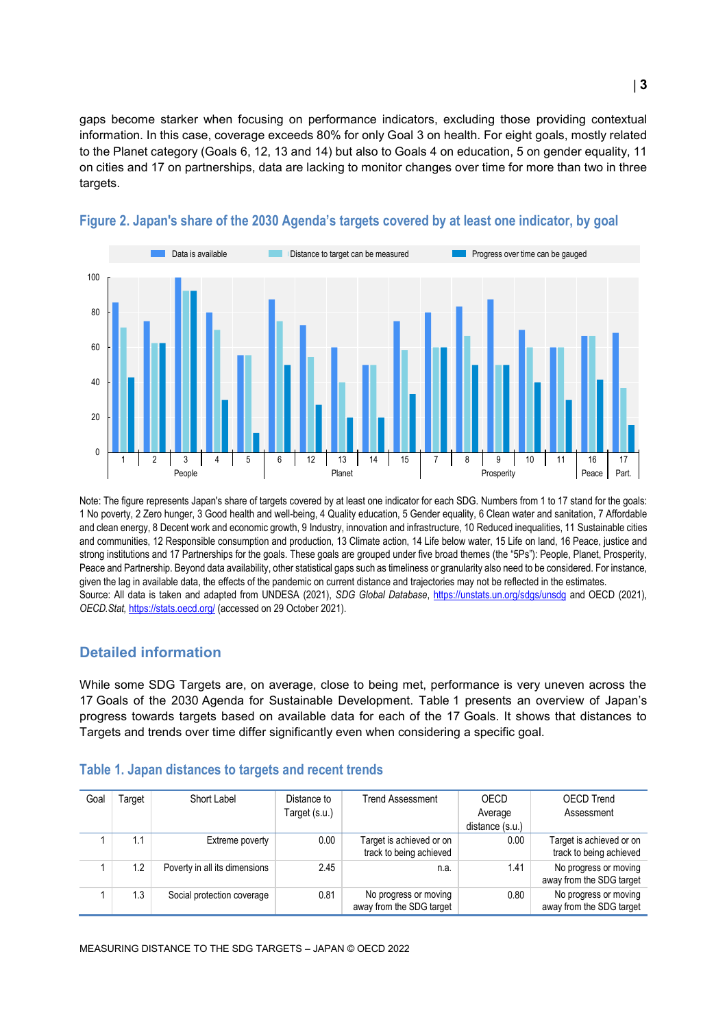gaps become starker when focusing on performance indicators, excluding those providing contextual information. In this case, coverage exceeds 80% for only Goal 3 on health. For eight goals, mostly related to the Planet category (Goals 6, 12, 13 and 14) but also to Goals 4 on education, 5 on gender equality, 11 on cities and 17 on partnerships, data are lacking to monitor changes over time for more than two in three targets.



#### <span id="page-2-1"></span>**Figure 2. Japan's share of the 2030 Agenda's targets covered by at least one indicator, by goal**

Note: The figure represents Japan's share of targets covered by at least one indicator for each SDG. Numbers from 1 to 17 stand for the goals: 1 No poverty, 2 Zero hunger, 3 Good health and well-being, 4 Quality education, 5 Gender equality, 6 Clean water and sanitation, 7 Affordable and clean energy, 8 Decent work and economic growth, 9 Industry, innovation and infrastructure, 10 Reduced inequalities, 11 Sustainable cities and communities, 12 Responsible consumption and production, 13 Climate action, 14 Life below water, 15 Life on land, 16 Peace, justice and strong institutions and 17 Partnerships for the goals. These goals are grouped under five broad themes (the "5Ps"): People, Planet, Prosperity, Peace and Partnership. Beyond data availability, other statistical gaps such as timeliness or granularity also need to be considered. For instance, given the lag in available data, the effects of the pandemic on current distance and trajectories may not be reflected in the estimates. Source: All data is taken and adapted from UNDESA (2021), *SDG Global Database*,<https://unstats.un.org/sdgs/unsdg> and OECD (2021), *OECD.Stat,* <https://stats.oecd.org/> (accessed on 29 October 2021).

#### **Detailed information**

While some SDG Targets are, on average, close to being met, performance is very uneven across the 17 Goals of the 2030 Agenda for Sustainable Development. [Table](#page-2-0) 1 presents an overview of Japan's progress towards targets based on available data for each of the 17 Goals. It shows that distances to Targets and trends over time differ significantly even when considering a specific goal.

| Goal | ⊺arqet | Short Label                   | Distance to<br>Target (s.u.) | <b>Trend Assessment</b>                             | OECD<br>Average<br>distance (s.u.) | <b>OECD Trend</b><br>Assessment                     |
|------|--------|-------------------------------|------------------------------|-----------------------------------------------------|------------------------------------|-----------------------------------------------------|
|      | 1.1    | Extreme poverty               | 0.00                         | Target is achieved or on<br>track to being achieved | 0.00                               | Target is achieved or on<br>track to being achieved |
|      | 1.2    | Poverty in all its dimensions | 2.45                         | n.a.                                                | 1.41                               | No progress or moving<br>away from the SDG target   |
|      | 1.3    | Social protection coverage    | 0.81                         | No progress or moving<br>away from the SDG target   | 0.80                               | No progress or moving<br>away from the SDG target   |

#### <span id="page-2-0"></span>**Table 1. Japan distances to targets and recent trends**

MEASURING DISTANCE TO THE SDG TARGETS – JAPAN © OECD 2022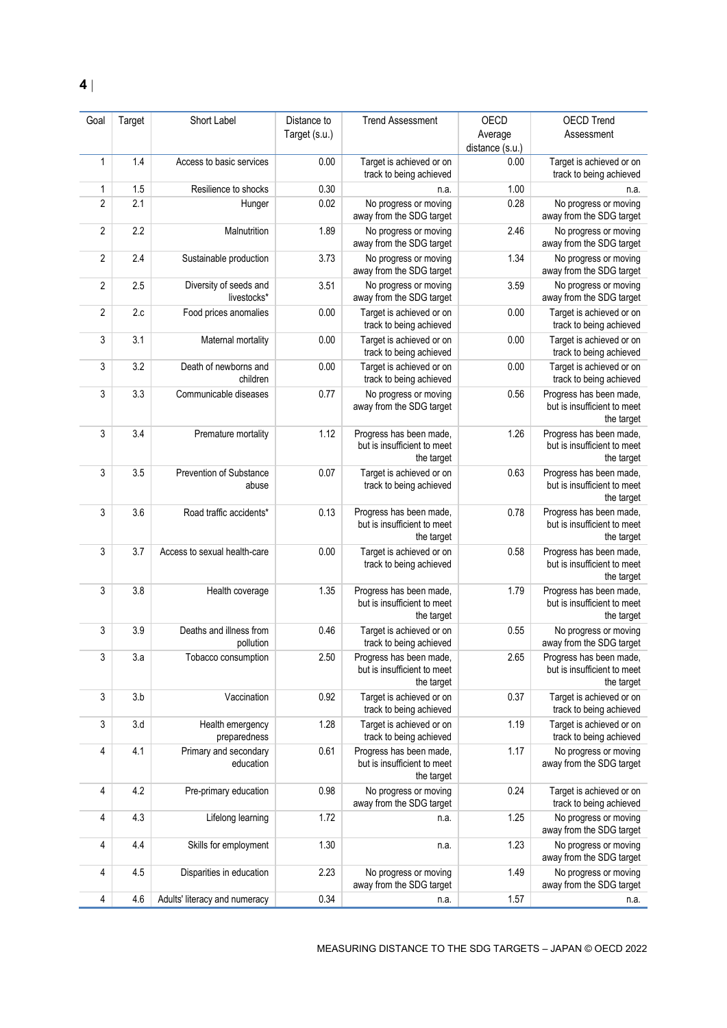| Goal           | Target | Short Label                           | Distance to   | <b>Trend Assessment</b>                                              | OECD            | <b>OECD Trend</b>                                                    |
|----------------|--------|---------------------------------------|---------------|----------------------------------------------------------------------|-----------------|----------------------------------------------------------------------|
|                |        |                                       | Target (s.u.) |                                                                      | Average         | Assessment                                                           |
|                |        |                                       |               |                                                                      | distance (s.u.) |                                                                      |
| $\mathbf{1}$   | 1.4    | Access to basic services              | 0.00          | Target is achieved or on<br>track to being achieved                  | 0.00            | Target is achieved or on<br>track to being achieved                  |
| 1              | 1.5    | Resilience to shocks                  | 0.30          | n.a.                                                                 | 1.00            | n.a.                                                                 |
| $\overline{2}$ | 2.1    | Hunger                                | 0.02          | No progress or moving<br>away from the SDG target                    | 0.28            | No progress or moving<br>away from the SDG target                    |
| $\overline{2}$ | 2.2    | Malnutrition                          | 1.89          | No progress or moving<br>away from the SDG target                    | 2.46            | No progress or moving<br>away from the SDG target                    |
| 2              | 2.4    | Sustainable production                | 3.73          | No progress or moving<br>away from the SDG target                    | 1.34            | No progress or moving<br>away from the SDG target                    |
| 2              | 2.5    | Diversity of seeds and<br>livestocks* | 3.51          | No progress or moving<br>away from the SDG target                    | 3.59            | No progress or moving<br>away from the SDG target                    |
| $\overline{2}$ | 2.c    | Food prices anomalies                 | 0.00          | Target is achieved or on<br>track to being achieved                  | 0.00            | Target is achieved or on<br>track to being achieved                  |
| 3              | 3.1    | Maternal mortality                    | 0.00          | Target is achieved or on<br>track to being achieved                  | 0.00            | Target is achieved or on<br>track to being achieved                  |
| 3              | 3.2    | Death of newborns and<br>children     | 0.00          | Target is achieved or on<br>track to being achieved                  | 0.00            | Target is achieved or on<br>track to being achieved                  |
| 3              | 3.3    | Communicable diseases                 | 0.77          | No progress or moving<br>away from the SDG target                    | 0.56            | Progress has been made,<br>but is insufficient to meet<br>the target |
| 3              | 3.4    | Premature mortality                   | 1.12          | Progress has been made,<br>but is insufficient to meet<br>the target | 1.26            | Progress has been made,<br>but is insufficient to meet<br>the target |
| 3              | 3.5    | Prevention of Substance<br>abuse      | 0.07          | Target is achieved or on<br>track to being achieved                  | 0.63            | Progress has been made,<br>but is insufficient to meet<br>the target |
| 3              | 3.6    | Road traffic accidents*               | 0.13          | Progress has been made,<br>but is insufficient to meet<br>the target | 0.78            | Progress has been made,<br>but is insufficient to meet<br>the target |
| 3              | 3.7    | Access to sexual health-care          | 0.00          | Target is achieved or on<br>track to being achieved                  | 0.58            | Progress has been made,<br>but is insufficient to meet<br>the target |
| 3              | 3.8    | Health coverage                       | 1.35          | Progress has been made,<br>but is insufficient to meet<br>the target | 1.79            | Progress has been made,<br>but is insufficient to meet<br>the target |
| 3              | 3.9    | Deaths and illness from<br>pollution  | 0.46          | Target is achieved or on<br>track to being achieved                  | 0.55            | No progress or moving<br>away from the SDG target                    |
| 3              | 3.a    | Tobacco consumption                   | 2.50          | Progress has been made,<br>but is insufficient to meet<br>the target | 2.65            | Progress has been made,<br>but is insufficient to meet<br>the target |
| 3              | 3.b    | Vaccination                           | 0.92          | Target is achieved or on<br>track to being achieved                  | 0.37            | Target is achieved or on<br>track to being achieved                  |
| 3              | 3.d    | Health emergency<br>preparedness      | 1.28          | Target is achieved or on<br>track to being achieved                  | 1.19            | Target is achieved or on<br>track to being achieved                  |
| 4              | 4.1    | Primary and secondary<br>education    | 0.61          | Progress has been made,<br>but is insufficient to meet<br>the target | 1.17            | No progress or moving<br>away from the SDG target                    |
| 4              | 4.2    | Pre-primary education                 | 0.98          | No progress or moving<br>away from the SDG target                    | 0.24            | Target is achieved or on<br>track to being achieved                  |
| 4              | 4.3    | Lifelong learning                     | 1.72          | n.a.                                                                 | 1.25            | No progress or moving<br>away from the SDG target                    |
| 4              | 4.4    | Skills for employment                 | 1.30          | n.a.                                                                 | 1.23            | No progress or moving<br>away from the SDG target                    |
| 4              | 4.5    | Disparities in education              | 2.23          | No progress or moving<br>away from the SDG target                    | 1.49            | No progress or moving<br>away from the SDG target                    |
| 4              | 4.6    | Adults' literacy and numeracy         | 0.34          | n.a.                                                                 | 1.57            | n.a.                                                                 |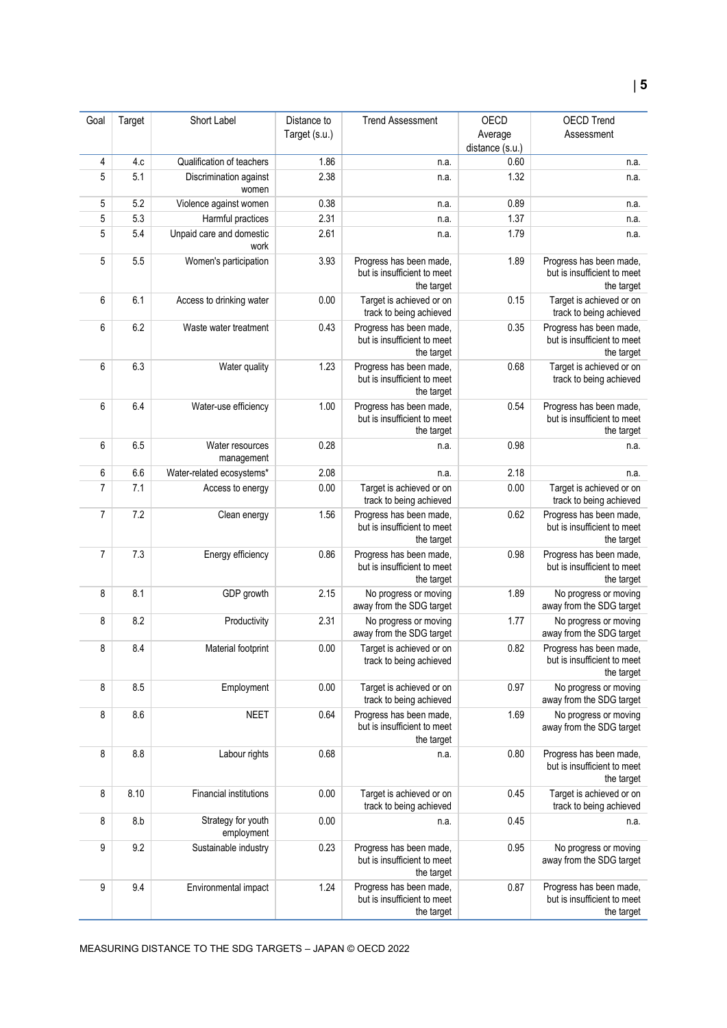| Goal           | Target | Short Label                      | Distance to   | <b>Trend Assessment</b>                                | OECD            | OECD Trend                                        |
|----------------|--------|----------------------------------|---------------|--------------------------------------------------------|-----------------|---------------------------------------------------|
|                |        |                                  | Target (s.u.) |                                                        | Average         | Assessment                                        |
|                |        |                                  |               |                                                        | distance (s.u.) |                                                   |
| 4              | 4.c    | Qualification of teachers        | 1.86          | n.a.                                                   | 0.60            | n.a.                                              |
| 5              | 5.1    | Discrimination against           | 2.38          | n.a.                                                   | 1.32            | n.a.                                              |
|                |        | women                            |               |                                                        |                 |                                                   |
| 5              | 5.2    | Violence against women           | 0.38          | n.a.                                                   | 0.89            | n.a.                                              |
| 5              | 5.3    | Harmful practices                | 2.31          | n.a.                                                   | 1.37            | n.a.                                              |
| 5              | 5.4    |                                  | 2.61          |                                                        | 1.79            |                                                   |
|                |        | Unpaid care and domestic<br>work |               | n.a.                                                   |                 | n.a.                                              |
| 5              | 5.5    | Women's participation            | 3.93          | Progress has been made,                                | 1.89            | Progress has been made,                           |
|                |        |                                  |               | but is insufficient to meet                            |                 | but is insufficient to meet                       |
|                |        |                                  |               | the target                                             |                 | the target                                        |
| 6              | 6.1    | Access to drinking water         | 0.00          | Target is achieved or on                               | 0.15            | Target is achieved or on                          |
|                |        |                                  |               | track to being achieved                                |                 | track to being achieved                           |
| 6              | 6.2    | Waste water treatment            | 0.43          | Progress has been made,                                | 0.35            | Progress has been made,                           |
|                |        |                                  |               | but is insufficient to meet                            |                 | but is insufficient to meet                       |
|                |        |                                  |               | the target                                             |                 | the target                                        |
| 6              | 6.3    | Water quality                    | 1.23          | Progress has been made,                                | 0.68            | Target is achieved or on                          |
|                |        |                                  |               | but is insufficient to meet                            |                 | track to being achieved                           |
|                |        |                                  |               | the target                                             |                 |                                                   |
| 6              | 6.4    | Water-use efficiency             | 1.00          | Progress has been made,                                | 0.54            | Progress has been made,                           |
|                |        |                                  |               | but is insufficient to meet                            |                 | but is insufficient to meet                       |
|                |        |                                  |               | the target                                             |                 | the target                                        |
| 6              | 6.5    | Water resources                  | 0.28          | n.a.                                                   | 0.98            | n.a.                                              |
|                |        | management                       |               |                                                        |                 |                                                   |
| 6              | 6.6    | Water-related ecosystems*        | 2.08          | n.a.                                                   | 2.18            | n.a.                                              |
| $\overline{7}$ | 7.1    | Access to energy                 | 0.00          | Target is achieved or on                               | 0.00            | Target is achieved or on                          |
|                |        |                                  |               | track to being achieved                                |                 | track to being achieved                           |
| $\overline{7}$ | 7.2    | Clean energy                     | 1.56          | Progress has been made,                                | 0.62            | Progress has been made,                           |
|                |        |                                  |               | but is insufficient to meet                            |                 | but is insufficient to meet                       |
|                |        |                                  |               | the target                                             |                 | the target                                        |
| $\overline{7}$ | 7.3    | Energy efficiency                | 0.86          | Progress has been made,                                | 0.98            | Progress has been made,                           |
|                |        |                                  |               | but is insufficient to meet                            |                 | but is insufficient to meet                       |
|                |        |                                  |               | the target                                             |                 | the target                                        |
| 8              | 8.1    | GDP growth                       | 2.15          | No progress or moving                                  | 1.89            | No progress or moving                             |
|                |        |                                  |               | away from the SDG target                               |                 | away from the SDG target                          |
| 8              | 8.2    | Productivity                     | 2.31          | No progress or moving                                  | 1.77            | No progress or moving                             |
|                |        |                                  |               | away from the SDG target                               |                 | away from the SDG target                          |
| 8              | 8.4    | Material footprint               | 0.00          | Target is achieved or on                               | 0.82            | Progress has been made,                           |
|                |        |                                  |               | track to being achieved                                |                 | but is insufficient to meet                       |
|                |        |                                  |               |                                                        |                 | the target                                        |
| 8              | 8.5    | Employment                       | 0.00          | Target is achieved or on                               | 0.97            | No progress or moving                             |
|                |        |                                  |               | track to being achieved                                |                 | away from the SDG target                          |
| 8              | 8.6    | <b>NEET</b>                      | 0.64          | Progress has been made,<br>but is insufficient to meet | 1.69            | No progress or moving<br>away from the SDG target |
|                |        |                                  |               | the target                                             |                 |                                                   |
| 8              | 8.8    | Labour rights                    | 0.68          |                                                        | 0.80            | Progress has been made,                           |
|                |        |                                  |               | n.a.                                                   |                 | but is insufficient to meet                       |
|                |        |                                  |               |                                                        |                 | the target                                        |
| 8              | 8.10   | <b>Financial institutions</b>    | 0.00          | Target is achieved or on                               | 0.45            | Target is achieved or on                          |
|                |        |                                  |               | track to being achieved                                |                 | track to being achieved                           |
| 8              | 8.b    | Strategy for youth               | 0.00          | n.a.                                                   | 0.45            | n.a.                                              |
|                |        | employment                       |               |                                                        |                 |                                                   |
| 9              | 9.2    | Sustainable industry             | 0.23          | Progress has been made,                                | 0.95            | No progress or moving                             |
|                |        |                                  |               | but is insufficient to meet                            |                 | away from the SDG target                          |
|                |        |                                  |               | the target                                             |                 |                                                   |
| 9              | 9.4    | Environmental impact             | 1.24          | Progress has been made,                                | 0.87            | Progress has been made,                           |
|                |        |                                  |               | but is insufficient to meet                            |                 | but is insufficient to meet                       |
|                |        |                                  |               | the target                                             |                 | the target                                        |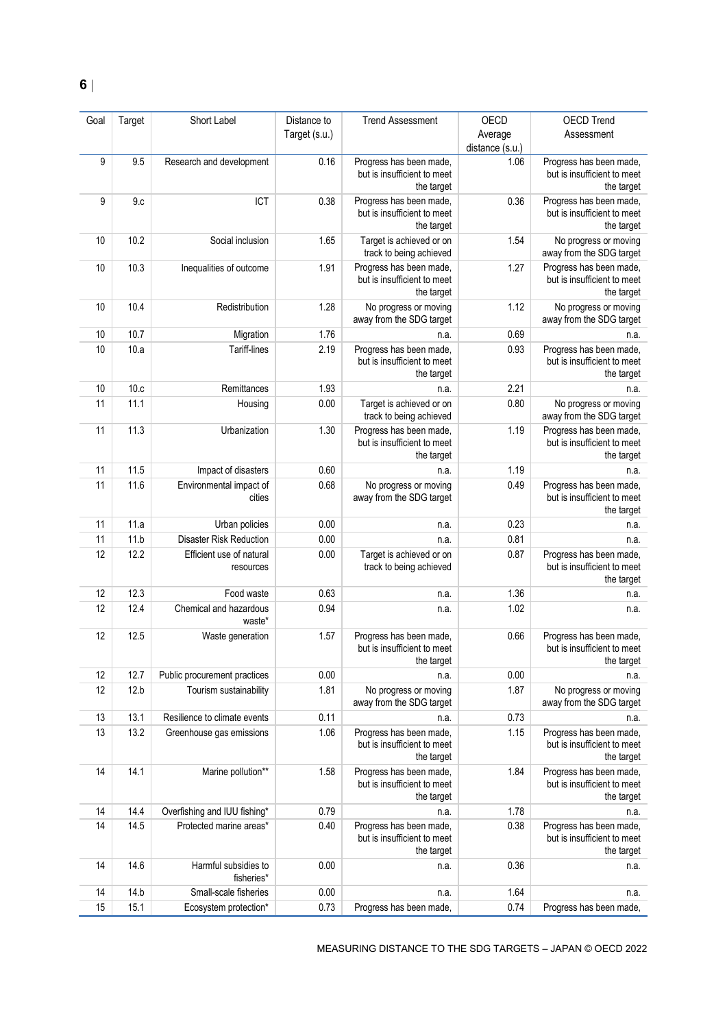| Goal | Target | Short Label                           | Distance to   | <b>Trend Assessment</b>                                              | OECD            | <b>OECD Trend</b>                                                    |
|------|--------|---------------------------------------|---------------|----------------------------------------------------------------------|-----------------|----------------------------------------------------------------------|
|      |        |                                       | Target (s.u.) |                                                                      | Average         | Assessment                                                           |
|      |        |                                       |               |                                                                      | distance (s.u.) |                                                                      |
| 9    | 9.5    | Research and development              | 0.16          | Progress has been made,<br>but is insufficient to meet<br>the target | 1.06            | Progress has been made,<br>but is insufficient to meet<br>the target |
| 9    | 9.c    | ICT                                   | 0.38          | Progress has been made,<br>but is insufficient to meet<br>the target | 0.36            | Progress has been made,<br>but is insufficient to meet<br>the target |
| 10   | 10.2   | Social inclusion                      | 1.65          | Target is achieved or on<br>track to being achieved                  | 1.54            | No progress or moving<br>away from the SDG target                    |
| 10   | 10.3   | Inequalities of outcome               | 1.91          | Progress has been made,<br>but is insufficient to meet<br>the target | 1.27            | Progress has been made,<br>but is insufficient to meet<br>the target |
| 10   | 10.4   | Redistribution                        | 1.28          | No progress or moving<br>away from the SDG target                    | 1.12            | No progress or moving<br>away from the SDG target                    |
| 10   | 10.7   | Migration                             | 1.76          | n.a.                                                                 | 0.69            | n.a.                                                                 |
| 10   | 10.a   | Tariff-lines                          | 2.19          | Progress has been made,<br>but is insufficient to meet<br>the target | 0.93            | Progress has been made,<br>but is insufficient to meet<br>the target |
| 10   | 10.c   | Remittances                           | 1.93          | n.a.                                                                 | 2.21            | n.a.                                                                 |
| 11   | 11.1   | Housing                               | 0.00          | Target is achieved or on<br>track to being achieved                  | 0.80            | No progress or moving<br>away from the SDG target                    |
| 11   | 11.3   | Urbanization                          | 1.30          | Progress has been made,<br>but is insufficient to meet<br>the target | 1.19            | Progress has been made.<br>but is insufficient to meet<br>the target |
| 11   | 11.5   | Impact of disasters                   | 0.60          | n.a.                                                                 | 1.19            | n.a.                                                                 |
| 11   | 11.6   | Environmental impact of<br>cities     | 0.68          | No progress or moving<br>away from the SDG target                    | 0.49            | Progress has been made,<br>but is insufficient to meet<br>the target |
| 11   | 11.a   | Urban policies                        | 0.00          | n.a.                                                                 | 0.23            | n.a.                                                                 |
| 11   | 11.b   | <b>Disaster Risk Reduction</b>        | 0.00          | n.a.                                                                 | 0.81            | n.a.                                                                 |
| 12   | 12.2   | Efficient use of natural<br>resources | 0.00          | Target is achieved or on<br>track to being achieved                  | 0.87            | Progress has been made,<br>but is insufficient to meet<br>the target |
| 12   | 12.3   | Food waste                            | 0.63          | n.a.                                                                 | 1.36            | n.a.                                                                 |
| 12   | 12.4   | Chemical and hazardous<br>waste*      | 0.94          | n.a.                                                                 | 1.02            | n.a.                                                                 |
| 12   | 12.5   | Waste generation                      | 1.57          | Progress has been made,<br>but is insufficient to meet<br>the target | 0.66            | Progress has been made,<br>but is insufficient to meet<br>the target |
| 12   | 12.7   | Public procurement practices          | $0.00\,$      | n.a.                                                                 | 0.00            | n.a.                                                                 |
| 12   | 12.b   | Tourism sustainability                | 1.81          | No progress or moving<br>away from the SDG target                    | 1.87            | No progress or moving<br>away from the SDG target                    |
| 13   | 13.1   | Resilience to climate events          | 0.11          | n.a.                                                                 | 0.73            | n.a.                                                                 |
| 13   | 13.2   | Greenhouse gas emissions              | 1.06          | Progress has been made,<br>but is insufficient to meet<br>the target | 1.15            | Progress has been made,<br>but is insufficient to meet<br>the target |
| 14   | 14.1   | Marine pollution**                    | 1.58          | Progress has been made,<br>but is insufficient to meet<br>the target | 1.84            | Progress has been made,<br>but is insufficient to meet<br>the target |
| 14   | 14.4   | Overfishing and IUU fishing*          | 0.79          | n.a.                                                                 | 1.78            | n.a.                                                                 |
| 14   | 14.5   | Protected marine areas*               | 0.40          | Progress has been made,<br>but is insufficient to meet<br>the target | 0.38            | Progress has been made,<br>but is insufficient to meet<br>the target |
| 14   | 14.6   | Harmful subsidies to<br>fisheries*    | 0.00          | n.a.                                                                 | 0.36            | n.a.                                                                 |
| 14   | 14.b   | Small-scale fisheries                 | 0.00          | n.a.                                                                 | 1.64            | n.a.                                                                 |
| 15   | 15.1   | Ecosystem protection*                 | 0.73          | Progress has been made,                                              | 0.74            | Progress has been made,                                              |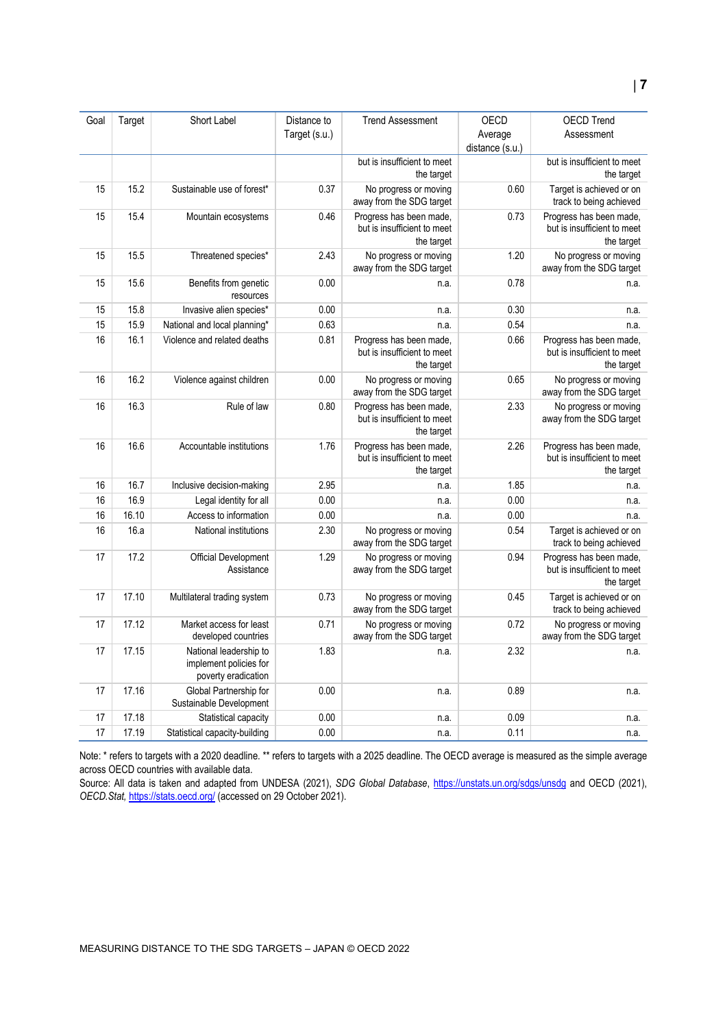| Goal | Target | Short Label                                                             | Distance to<br>Target (s.u.) | <b>Trend Assessment</b>                                              | OECD<br>Average<br>distance (s.u.) | <b>OECD Trend</b><br>Assessment                                      |
|------|--------|-------------------------------------------------------------------------|------------------------------|----------------------------------------------------------------------|------------------------------------|----------------------------------------------------------------------|
|      |        |                                                                         |                              | but is insufficient to meet<br>the target                            |                                    | but is insufficient to meet<br>the target                            |
| 15   | 15.2   | Sustainable use of forest*                                              | 0.37                         | No progress or moving<br>away from the SDG target                    | 0.60                               | Target is achieved or on<br>track to being achieved                  |
| 15   | 15.4   | Mountain ecosystems                                                     | 0.46                         | Progress has been made,<br>but is insufficient to meet<br>the target | 0.73                               | Progress has been made,<br>but is insufficient to meet<br>the target |
| 15   | 15.5   | Threatened species*                                                     | 2.43                         | No progress or moving<br>away from the SDG target                    | 1.20                               | No progress or moving<br>away from the SDG target                    |
| 15   | 15.6   | Benefits from genetic<br>resources                                      | 0.00                         | n.a.                                                                 | 0.78                               | n.a.                                                                 |
| 15   | 15.8   | Invasive alien species*                                                 | 0.00                         | n.a.                                                                 | 0.30                               | n.a.                                                                 |
| 15   | 15.9   | National and local planning*                                            | 0.63                         | n.a.                                                                 | 0.54                               | n.a.                                                                 |
| 16   | 16.1   | Violence and related deaths                                             | 0.81                         | Progress has been made,<br>but is insufficient to meet<br>the target | 0.66                               | Progress has been made,<br>but is insufficient to meet<br>the target |
| 16   | 16.2   | Violence against children                                               | 0.00                         | No progress or moving<br>away from the SDG target                    | 0.65                               | No progress or moving<br>away from the SDG target                    |
| 16   | 16.3   | Rule of law                                                             | 0.80                         | Progress has been made,<br>but is insufficient to meet<br>the target | 2.33                               | No progress or moving<br>away from the SDG target                    |
| 16   | 16.6   | Accountable institutions                                                | 1.76                         | Progress has been made,<br>but is insufficient to meet<br>the target | 2.26                               | Progress has been made,<br>but is insufficient to meet<br>the target |
| 16   | 16.7   | Inclusive decision-making                                               | 2.95                         | n.a.                                                                 | 1.85                               | n.a.                                                                 |
| 16   | 16.9   | Legal identity for all                                                  | 0.00                         | n.a.                                                                 | 0.00                               | n.a.                                                                 |
| 16   | 16.10  | Access to information                                                   | 0.00                         | n.a.                                                                 | 0.00                               | n.a.                                                                 |
| 16   | 16.a   | National institutions                                                   | 2.30                         | No progress or moving<br>away from the SDG target                    | 0.54                               | Target is achieved or on<br>track to being achieved                  |
| 17   | 17.2   | Official Development<br>Assistance                                      | 1.29                         | No progress or moving<br>away from the SDG target                    | 0.94                               | Progress has been made,<br>but is insufficient to meet<br>the target |
| 17   | 17.10  | Multilateral trading system                                             | 0.73                         | No progress or moving<br>away from the SDG target                    | 0.45                               | Target is achieved or on<br>track to being achieved                  |
| 17   | 17.12  | Market access for least<br>developed countries                          | 0.71                         | No progress or moving<br>away from the SDG target                    | 0.72                               | No progress or moving<br>away from the SDG target                    |
| 17   | 17.15  | National leadership to<br>implement policies for<br>poverty eradication | 1.83                         | n.a.                                                                 | 2.32                               | n.a.                                                                 |
| 17   | 17.16  | Global Partnership for<br>Sustainable Development                       | 0.00                         | n.a.                                                                 | 0.89                               | n.a.                                                                 |
| 17   | 17.18  | Statistical capacity                                                    | 0.00                         | n.a.                                                                 | 0.09                               | n.a.                                                                 |
| 17   | 17.19  | Statistical capacity-building                                           | 0.00                         | n.a.                                                                 | 0.11                               | n.a.                                                                 |

Note: \* refers to targets with a 2020 deadline. \*\* refers to targets with a 2025 deadline. The OECD average is measured as the simple average across OECD countries with available data.

Source: All data is taken and adapted from UNDESA (2021), *SDG Global Database*,<https://unstats.un.org/sdgs/unsdg> and OECD (2021), *OECD.Stat,* <https://stats.oecd.org/> (accessed on 29 October 2021).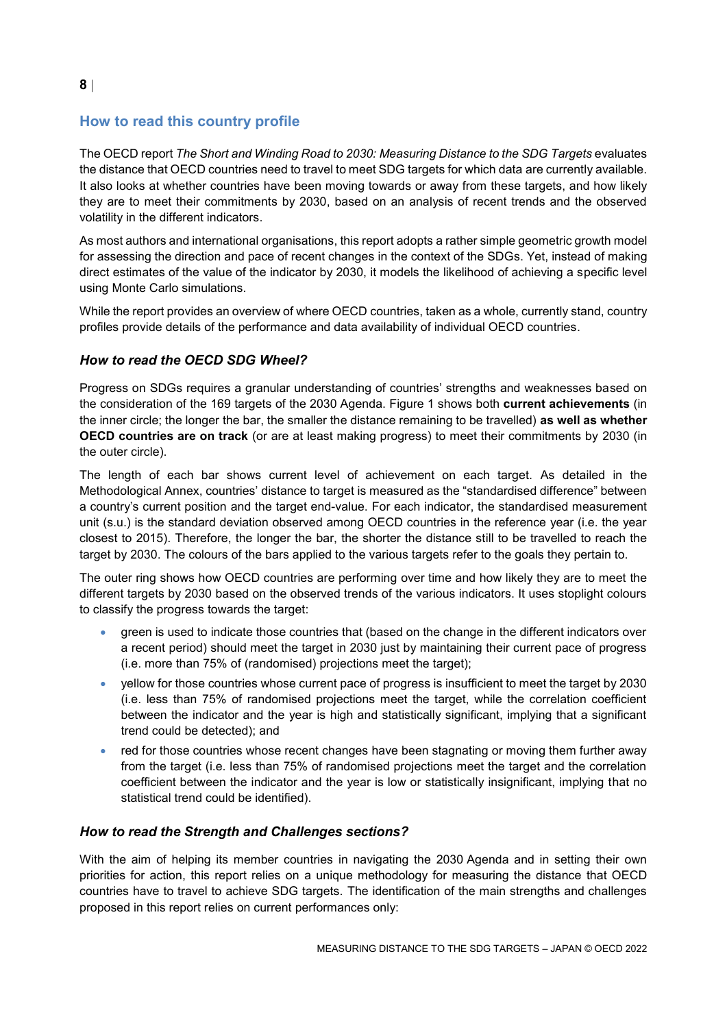# <span id="page-7-0"></span>**How to read this country profile**

The OECD report *The Short and Winding Road to 2030: Measuring Distance to the SDG Targets* evaluates the distance that OECD countries need to travel to meet SDG targets for which data are currently available. It also looks at whether countries have been moving towards or away from these targets, and how likely they are to meet their commitments by 2030, based on an analysis of recent trends and the observed volatility in the different indicators.

As most authors and international organisations, this report adopts a rather simple geometric growth model for assessing the direction and pace of recent changes in the context of the SDGs. Yet, instead of making direct estimates of the value of the indicator by 2030, it models the likelihood of achieving a specific level using Monte Carlo simulations.

While the report provides an overview of where OECD countries, taken as a whole, currently stand, country profiles provide details of the performance and data availability of individual OECD countries.

## *How to read the OECD SDG Wheel?*

Progress on SDGs requires a granular understanding of countries' strengths and weaknesses based on the consideration of the 169 targets of the 2030 Agenda. [Figure](#page-0-0) 1 shows both **current achievements** (in the inner circle; the longer the bar, the smaller the distance remaining to be travelled) **as well as whether OECD countries are on track** (or are at least making progress) to meet their commitments by 2030 (in the outer circle).

The length of each bar shows current level of achievement on each target. As detailed in the Methodological Annex, countries' distance to target is measured as the "standardised difference" between a country's current position and the target end-value. For each indicator, the standardised measurement unit (s.u.) is the standard deviation observed among OECD countries in the reference year (i.e. the year closest to 2015). Therefore, the longer the bar, the shorter the distance still to be travelled to reach the target by 2030. The colours of the bars applied to the various targets refer to the goals they pertain to.

The outer ring shows how OECD countries are performing over time and how likely they are to meet the different targets by 2030 based on the observed trends of the various indicators. It uses stoplight colours to classify the progress towards the target:

- green is used to indicate those countries that (based on the change in the different indicators over a recent period) should meet the target in 2030 just by maintaining their current pace of progress (i.e. more than 75% of (randomised) projections meet the target);
- yellow for those countries whose current pace of progress is insufficient to meet the target by 2030 (i.e. less than 75% of randomised projections meet the target, while the correlation coefficient between the indicator and the year is high and statistically significant, implying that a significant trend could be detected); and
- red for those countries whose recent changes have been stagnating or moving them further away from the target (i.e. less than 75% of randomised projections meet the target and the correlation coefficient between the indicator and the year is low or statistically insignificant, implying that no statistical trend could be identified).

## *How to read the Strength and Challenges sections?*

With the aim of helping its member countries in navigating the 2030 Agenda and in setting their own priorities for action, this report relies on a unique methodology for measuring the distance that OECD countries have to travel to achieve SDG targets. The identification of the main strengths and challenges proposed in this report relies on current performances only: